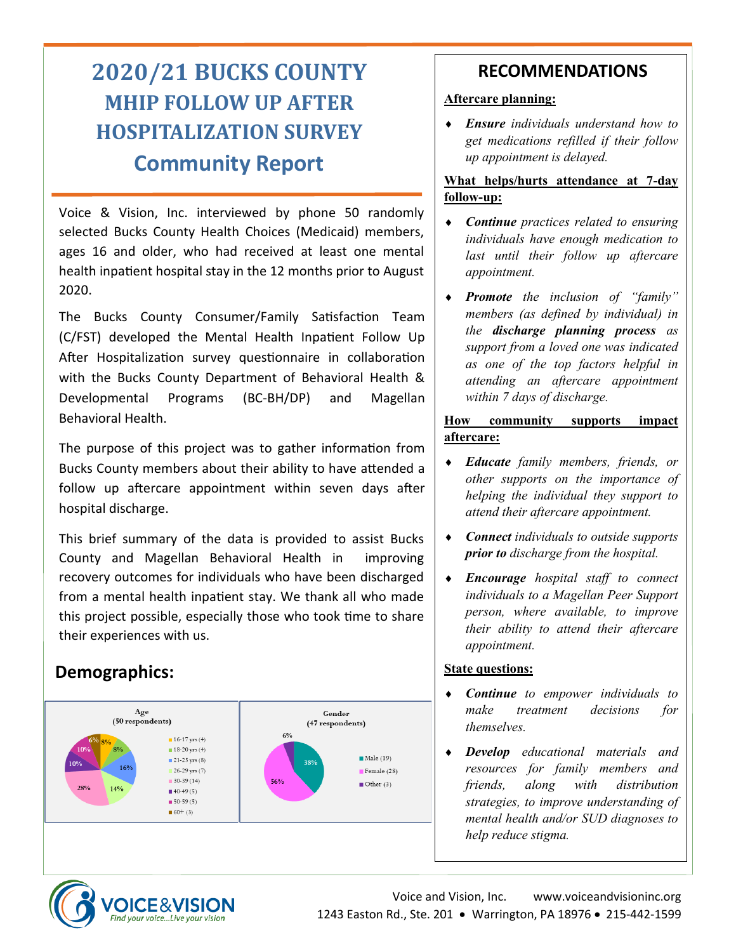# **2020/21 BUCKS COUNTY MHIP FOLLOW UP AFTER HOSPITALIZATION SURVEY Community Report**

Voice & Vision, Inc. interviewed by phone 50 randomly selected Bucks County Health Choices (Medicaid) members, ages 16 and older, who had received at least one mental health inpatient hospital stay in the 12 months prior to August 2020.

The Bucks County Consumer/Family Satisfaction Team (C/FST) developed the Mental Health Inpatient Follow Up After Hospitalization survey questionnaire in collaboration with the Bucks County Department of Behavioral Health & Developmental Programs (BC-BH/DP) and Magellan Behavioral Health.

The purpose of this project was to gather information from Bucks County members about their ability to have attended a follow up aftercare appointment within seven days after hospital discharge.

This brief summary of the data is provided to assist Bucks County and Magellan Behavioral Health in improving recovery outcomes for individuals who have been discharged from a mental health inpatient stay. We thank all who made this project possible, especially those who took time to share their experiences with us.

## **Demographics:**



## **RECOMMENDATIONS**

#### **Aftercare planning:**

 *Ensure individuals understand how to get medications refilled if their follow up appointment is delayed.*

#### **What helps/hurts attendance at 7-day follow-up:**

- *Continue practices related to ensuring individuals have enough medication to last until their follow up aftercare appointment.*
- *Promote the inclusion of "family" members (as defined by individual) in the discharge planning process as support from a loved one was indicated as one of the top factors helpful in attending an aftercare appointment within 7 days of discharge.*

#### **How community supports impact aftercare:**

- *Educate family members, friends, or other supports on the importance of helping the individual they support to attend their aftercare appointment.*
- *Connect individuals to outside supports prior to discharge from the hospital.*
- *Encourage hospital staff to connect individuals to a Magellan Peer Support person, where available, to improve their ability to attend their aftercare appointment.*

### **State questions:**

- *Continue to empower individuals to make treatment decisions for themselves.*
- *Develop educational materials and resources for family members and friends, along with distribution strategies, to improve understanding of mental health and/or SUD diagnoses to help reduce stigma.*

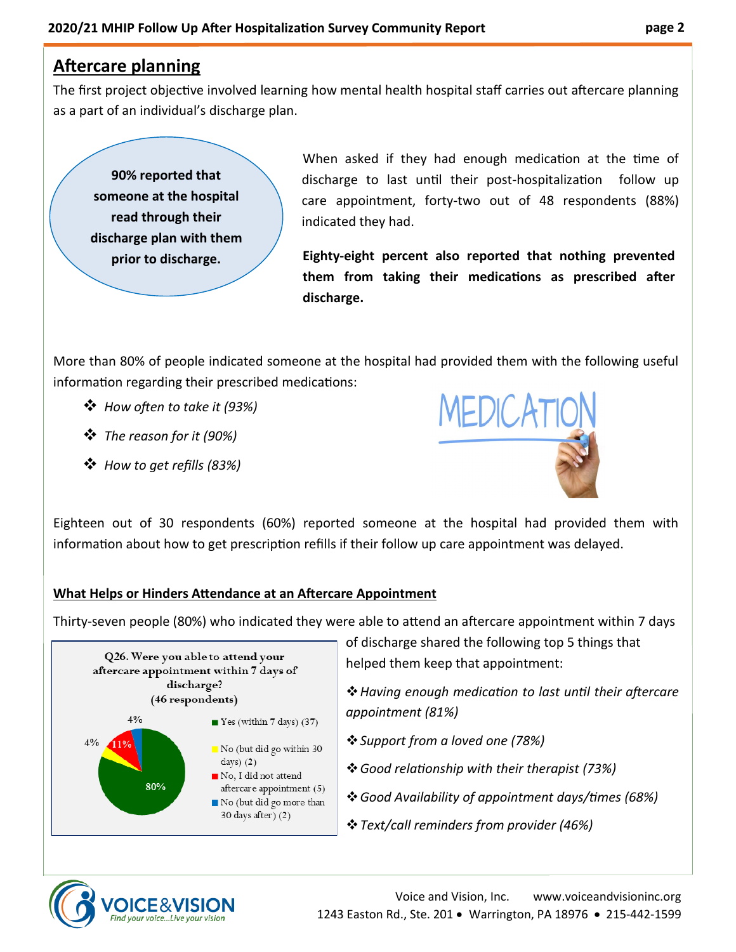## **Aftercare planning**

The first project objective involved learning how mental health hospital staff carries out aftercare planning as a part of an individual's discharge plan.

**90% reported that someone at the hospital read through their discharge plan with them prior to discharge.**

 When asked if they had enough medication at the time of discharge to last until their post-hospitalization follow up care appointment, forty-two out of 48 respondents (88%) indicated they had.

**Eighty-eight percent also reported that nothing prevented them from taking their medications as prescribed after discharge.**

More than 80% of people indicated someone at the hospital had provided them with the following useful information regarding their prescribed medications:

- ❖ *How often to take it (93%)*
- ❖ *The reason for it (90%)*
- ❖ *How to get refills (83%)*



Eighteen out of 30 respondents (60%) reported someone at the hospital had provided them with information about how to get prescription refills if their follow up care appointment was delayed.

#### **What Helps or Hinders Attendance at an Aftercare Appointment**

Thirty-seven people (80%) who indicated they were able to attend an aftercare appointment within 7 days



of discharge shared the following top 5 things that helped them keep that appointment:

❖*Having enough medication to last until their aftercare appointment (81%)*

- ❖*Support from a loved one (78%)*
- ❖*Good relationship with their therapist (73%)*
- ❖*Good Availability of appointment days/times (68%)*
- ❖*Text/call reminders from provider (46%)*

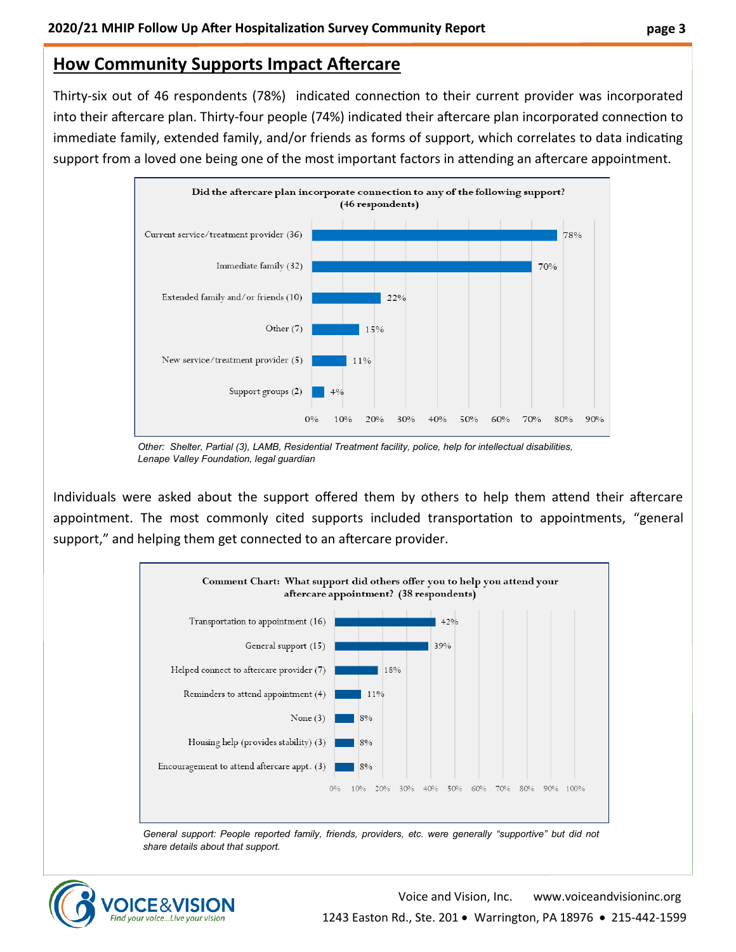## **How Community Supports Impact Aftercare**

Thirty-six out of 46 respondents (78%) indicated connection to their current provider was incorporated into their aftercare plan. Thirty-four people (74%) indicated their aftercare plan incorporated connection to immediate family, extended family, and/or friends as forms of support, which correlates to data indicating support from a loved one being one of the most important factors in attending an aftercare appointment.



*Other: Shelter, Partial (3), LAMB, Residential Treatment facility, police, help for intellectual disabilities, Lenape Valley Foundation, legal guardian*

Individuals were asked about the support offered them by others to help them attend their aftercare appointment. The most commonly cited supports included transportation to appointments, "general support," and helping them get connected to an aftercare provider.



*General support: People reported family, friends, providers, etc. were generally "supportive" but did not share details about that support.*